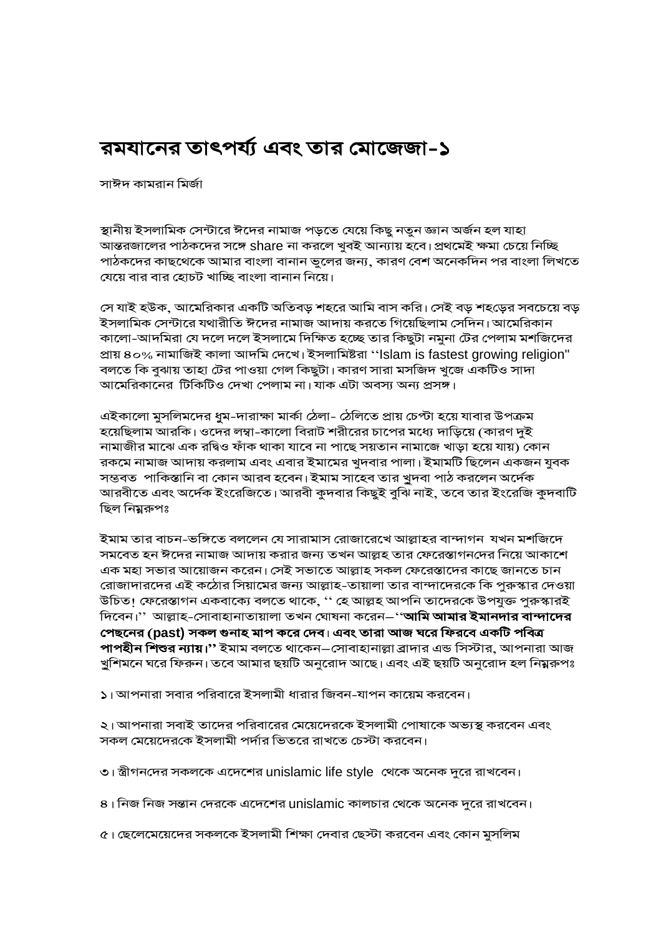## রমযানের তাৎপর্য্য এবং তার মোজেজা-১

সাঈদ কামরান মির্জা

স্থানীয় ইসলামিক সেন্টারে ঈদের নামাজ পড়তে যেয়ে কিছু নতুন জ্ঞান অর্জন হল যাহা আন্তরজালের পাঠকদের সঙ্গে share না করলে খুবই আন্যায় হবে। প্রথমেই ক্ষমা চেয়ে নিচ্ছি পাঠকদের কাছথেকে আমার বাংলা বানান ভুলের জন্য, কারণ বেশ অনেকদিন পর বাংলা লিখতে যেয়ে বার বার হোচট খাচ্ছি বাংলা বানান নিয়ে।

সে যাই হউক, আমেরিকার একটি অতিবড় শহরে আমি বাস করি। সেই বড় শহড়ের সবচেয়ে বড় ইসলামিক সেন্টারে যথারীতি ঈদের নামাজ আদায় করতে গিয়েছিলাম সেদিন। আমেরিকান কালো-আদমিরা যে দলে দলে ইসলামে দিক্ষিত হচ্ছে তার কিছুটা নমুনা টের পেলাম মশজিদের প্ৰায় ৪০% নামাজিই কালা আদমি দেখে। ইসলামিষ্টরা ''Islam is fastest growing religion" বলতে কি বুঝায় তাহা টের পাওয়া গেল কিছুটা। কারণ সারা মসজিদ খুজে একটিও সাদা আমেরিকানের টিকিটিও দেখা পেলাম না।যাক এটা অবস্য অন্য প্রসঙ্গ।

এইকালো মুসলিমদের ধুম-দারাক্ষা মার্কা ঠেলা- ঠেলিতে প্রায় চেপ্টা হয়ে যাবার উপক্রম হয়েছিলাম আরকি। ওদের লম্বা-কালো বিরাট শরীরের চাপের মধ্যে দাড়িয়ে (কারণ দুই নামাজীর মাঝে এক রদ্বিও ফাঁক থাকা যাবে না পাছে সয়তান নামাজে খাড়া হয়ে যায়) কোন রকমে নামাজ আদায় করলাম এবং এবার ইমামের খুদবার পালা। ইমামটি ছিলেন একজন যুবক সম্ভবত পাকিস্তানি বা কোন আরব হবেন। ইমাম সাহেব তার খুদবা পাঠ করলেন অর্দেক আরবীতে এবং অর্দেক ইংরেজিতে। আরবী কুদবার কিছুই বুঝি নাই, তবে তার ইংরেজি কুদবাটি ছিল নিয়ুরুপঃ

ইমাম তার বাচন-ভঙ্গিতে বললেন যে সারামাস রোজারেখে আল্লাহর বান্দাগন যখন মশজিদে সমবেত হন ঈদের নামাজ আদায় করার জন্য তখন আল্লহ তার ফেরেস্তাগনদের নিয়ে আকাশে এক মহা সভার আয়োজন করেন। সেই সভাতে আল্লাহ সকল ফেরেস্তাদের কাছে জানতে চান রোজাদারদের এই কঠোর সিয়ামের জন্য আল্লাহ-তায়ালা তার বান্দাদেরকে কি পুরুস্কার দেওয়া উচিত! ফেরেস্তাগন একবাক্যে বলতে থাকে, '' হে আল্লহ আপনি তাদেরকে উপযুক্ত পুরুস্কারই দিবেন।'' আল্লাহ-সোবাহানাতায়ালা তখন ঘোষনা করেন–''**আমি আমার ইমানদার বান্দাদের** পেছনের (past) সকল গুনাহ মাপ করে দেব। এবং তারা আজ ঘরে ফিরবে একটি পবিত্র **পাপহীন শিশুর ন্যায়।''** ইমাম বলতে থাকেন—সোবাহানাল্লা ব্রাদার এন্ড সিস্টার, আপনারা আজ খুশিমনে ঘরে ফিরুন। তবে আমার ছয়টি অনুরোদ আছে। এবং এই ছয়টি অনুরোদ হল নিম্নরুপঃ

১। আপনারা সবার পরিবারে ইসলামী ধারার জিবন-যাপন কায়েম করবেন।

২। আপনারা সবাই তাদের পরিবারের মেয়েদেরকে ইসলামী পোষাকে অভ্যস্থ করবেন এবং সকল মেয়েদেরকে ইসলামী পর্দার ভিতরে রাখতে চেস্টা করবেন।

৩। স্ত্রীগনদের সকলকে এদেশের unislamic life style থেকে অনেক দুরে রাখবেন।

৪। নিজ নিজ সন্তান দেরকে এদেশের unislamic কালচার থেকে অনেক দুরে রাখবেন।

৫। ছেলেমেয়েদের সকলকে ইসলামী শিক্ষা দেবার ছেস্টা করবেন এবং কোন মুসলিম